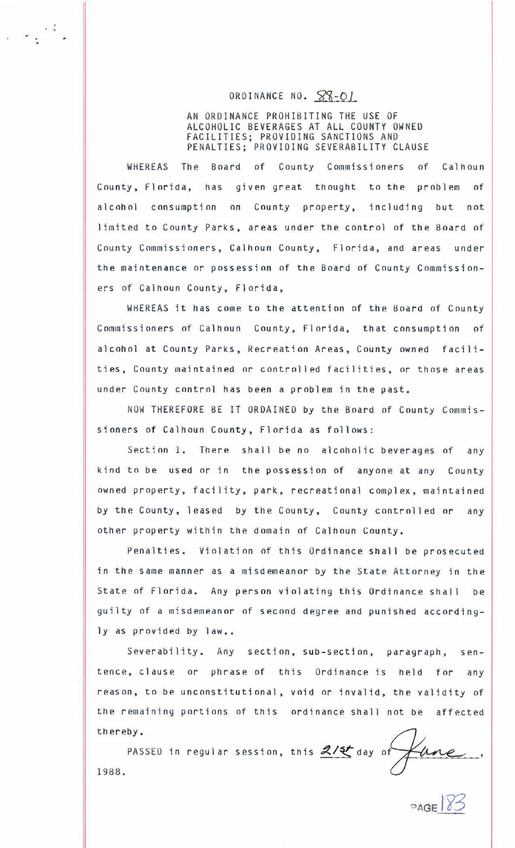## ORDINANCE NO.  $88-01$

. .

> AN ORDINANCE PROHIBITING THE USE OF ALCOHOLIC BEVERAGES AT ALL COUNTY OWNED FACILITIES; PROVIDING SANCTIONS AND PENALTIES; PROVIDING SEVERABILITY CLAUSE

WHEREAS The Board of County Commissioners of Calhoun County, Florida, has given great thought to the problem of alcohol consumption on County property, including but not limited to County Parks, areas under the control of the Board of County Commissioners, Calhoun County, Florida, and areas under the maintenance or possession of the Board of County Commissioners of Calhoun County, Florida,

WHEREAS it has come to the attention of the Board of County Commissioners of Calhoun County, Florida, that consumption of alcohol at County Parks, Recreation Areas, County owned facilities, County maintained or controlled facilities, or those areas under County control has been a problem tn the past.

NOW THEREFORE BE IT ORDAINED by the Board of County Commissioners of Calhoun County, Florida as follows:

Section 1. There shall be no alcoholic beverages of any kind to be used or in the possession of anyone at any County owned property, facility, park, recreational complex, maintained by the County, leased by the County, County controlled or any other property within the domain of Calhoun County.

Penalties. Violation of this Ordinance shall be prosecuted in the same manner as a misdemeanor by the State Attorney in the State of Florida. Any person violating this Ordinance shall be guilty of a misdemeanor of second degree and punished accordingly as provided by law..

Severability. Any section, sub-section, paragraph, sentence, clause or phrase of this Ordinance is held for any reason, to be unconstitutional, void or invalid, the validity of the remaining portions of this ordinance shall not be affected thereby.

PASSED in regular session, this  $2/5$  day of 1988.